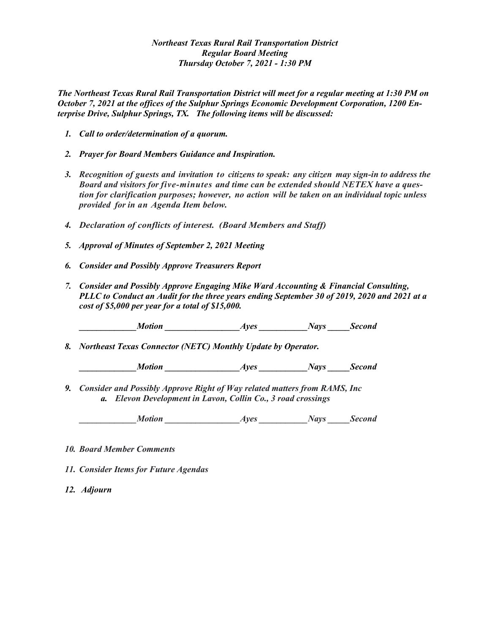## *Northeast Texas Rural Rail Transportation District Regular Board Meeting Thursday October 7, 2021 - 1:30 PM*

*The Northeast Texas Rural Rail Transportation District will meet for a regular meeting at 1:30 PM on October 7, 2021 at the offices of the Sulphur Springs Economic Development Corporation, 1200 Enterprise Drive, Sulphur Springs, TX. The following items will be discussed:* 

- *1. Call to order/determination of a quorum.*
- *2. Prayer for Board Members Guidance and Inspiration.*
- *3. Recognition of guests and invitation to citizens to speak: any citizen may sign-in to address the Board and visitors for five-minutes and time can be extended should NETEX have a question for clarification purposes; however, no action will be taken on an individual topic unless provided for in an Agenda Item below.*
- *4. Declaration of conflicts of interest. (Board Members and Staff)*
- *5. Approval of Minutes of September 2, 2021 Meeting*
- *6. Consider and Possibly Approve Treasurers Report*
- *7. Consider and Possibly Approve Engaging Mike Ward Accounting & Financial Consulting, PLLC to Conduct an Audit for the three years ending September 30 of 2019, 2020 and 2021 at a cost of \$5,000 per year for a total of \$15,000.*

*Ayes Motion Ayes Nays Second* 

*8. Northeast Texas Connector (NETC) Monthly Update by Operator.*

*\_\_\_\_\_\_\_\_\_\_\_\_\_Motion \_\_\_\_\_\_\_\_\_\_\_\_\_\_\_\_\_Ayes \_\_\_\_\_\_\_\_\_\_\_Nays \_\_\_\_\_Second*

*9. Consider and Possibly Approve Right of Way related matters from RAMS, Inc a. Elevon Development in Lavon, Collin Co., 3 road crossings*

*Ayes Motion Ayes Nays Second* 

- *10. Board Member Comments*
- *11. Consider Items for Future Agendas*
- *12. Adjourn*